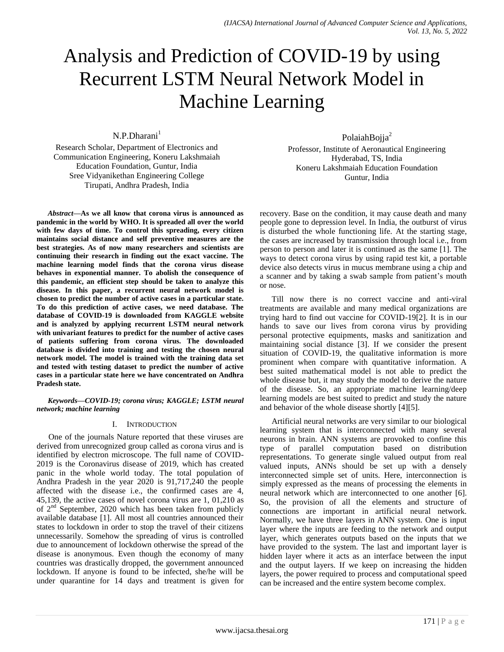# Analysis and Prediction of COVID-19 by using Recurrent LSTM Neural Network Model in Machine Learning

 $N.P.Dharani<sup>1</sup>$ 

Research Scholar, Department of Electronics and Communication Engineering, Koneru Lakshmaiah Education Foundation, Guntur, India Sree Vidyanikethan Engineering College Tirupati, Andhra Pradesh, India

*Abstract***—As we all know that corona virus is announced as pandemic in the world by WHO. It is spreaded all over the world with few days of time. To control this spreading, every citizen maintains social distance and self preventive measures are the best strategies. As of now many researchers and scientists are continuing their research in finding out the exact vaccine. The machine learning model finds that the corona virus disease behaves in exponential manner. To abolish the consequence of this pandemic, an efficient step should be taken to analyze this disease. In this paper, a recurrent neural network model is chosen to predict the number of active cases in a particular state. To do this prediction of active cases, we need database. The database of COVID-19 is downloaded from KAGGLE website and is analyzed by applying recurrent LSTM neural network with univariant features to predict for the number of active cases of patients suffering from corona virus. The downloaded database is divided into training and testing the chosen neural network model. The model is trained with the training data set and tested with testing dataset to predict the number of active cases in a particular state here we have concentrated on Andhra Pradesh state.**

*Keywords—COVID-19; corona virus; KAGGLE; LSTM neural network; machine learning*

## I. INTRODUCTION

One of the journals Nature reported that these viruses are derived from unrecognized group called as corona virus and is identified by electron microscope. The full name of COVID-2019 is the Coronavirus disease of 2019, which has created panic in the whole world today. The total population of Andhra Pradesh in the year 2020 is 91,717,240 the people affected with the disease i.e., the confirmed cases are 4, 45,139, the active cases of novel corona virus are 1, 01,210 as of 2nd September, 2020 which has been taken from publicly available database [1]. All most all countries announced their states to lockdown in order to stop the travel of their citizens unnecessarily. Somehow the spreading of virus is controlled due to announcement of lockdown otherwise the spread of the disease is anonymous. Even though the economy of many countries was drastically dropped, the government announced lockdown. If anyone is found to be infected, she/he will be under quarantine for 14 days and treatment is given for

PolaiahBojja<sup>2</sup> Professor, Institute of Aeronautical Engineering Hyderabad, TS, India Koneru Lakshmaiah Education Foundation Guntur, India

recovery. Base on the condition, it may cause death and many people gone to depression level. In India, the outburst of virus is disturbed the whole functioning life. At the starting stage, the cases are increased by transmission through local i.e., from person to person and later it is continued as the same [1]. The ways to detect corona virus by using rapid test kit, a portable device also detects virus in mucus membrane using a chip and a scanner and by taking a swab sample from patient's mouth or nose.

Till now there is no correct vaccine and anti-viral treatments are available and many medical organizations are trying hard to find out vaccine for COVID-19[2]. It is in our hands to save our lives from corona virus by providing personal protective equipments, masks and sanitization and maintaining social distance [3]. If we consider the present situation of COVID-19, the qualitative information is more prominent when compare with quantitative information. A best suited mathematical model is not able to predict the whole disease but, it may study the model to derive the nature of the disease. So, an appropriate machine learning/deep learning models are best suited to predict and study the nature and behavior of the whole disease shortly [4][5].

Artificial neural networks are very similar to our biological learning system that is interconnected with many several neurons in brain. ANN systems are provoked to confine this type of parallel computation based on distribution representations. To generate single valued output from real valued inputs, ANNs should be set up with a densely interconnected simple set of units. Here, interconnection is simply expressed as the means of processing the elements in neural network which are interconnected to one another [6]. So, the provision of all the elements and structure of connections are important in artificial neural network. Normally, we have three layers in ANN system. One is input layer where the inputs are feeding to the network and output layer, which generates outputs based on the inputs that we have provided to the system. The last and important layer is hidden layer where it acts as an interface between the input and the output layers. If we keep on increasing the hidden layers, the power required to process and computational speed can be increased and the entire system become complex.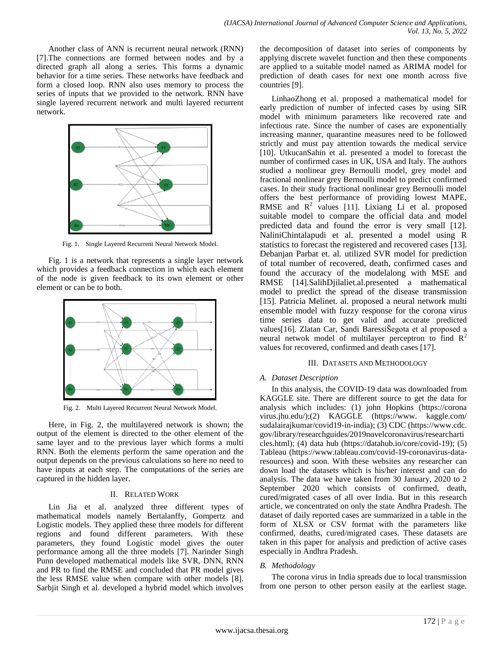Another class of ANN is recurrent neural network (RNN) [7].The connections are formed between nodes and by a directed graph all along a series. This forms a dynamic behavior for a time series. These networks have feedback and form a closed loop. RNN also uses memory to process the series of inputs that we provided to the network. RNN have single layered recurrent network and multi layered recurrent network.



Fig. 1. Single Layered Recurrent Neural Network Model.

Fig. 1 is a network that represents a single layer network which provides a feedback connection in which each element of the node is given feedback to its own element or other element or can be to both.



Fig. 2. Multi Layered Recurrent Neural Network Model.

Here, in Fig. 2, the multilayered network is shown; the output of the element is directed to the other element of the same layer and to the previous layer which forms a multi RNN. Both the elements perform the same operation and the output depends on the previous calculations so here no need to have inputs at each step. The computations of the series are captured in the hidden layer.

# II. RELATED WORK

Lin Jia et al. analyzed three different types of mathematical models namely Bertalanffy, Gompertz and Logistic models. They applied these three models for different regions and found different parameters. With these parameters, they found Logistic model gives the outer performance among all the three models [7]. Narinder Singh Punn developed mathematical models like SVR, DNN, RNN and PR to find the RMSE and concluded that PR model gives the less RMSE value when compare with other models [8]. Sarbjit Singh et al. developed a hybrid model which involves the decomposition of dataset into series of components by applying discrete wavelet function and then these components are applied to a suitable model named as ARIMA model for prediction of death cases for next one month across five countries [9].

LinhaoZhong et al. proposed a mathematical model for early prediction of number of infected cases by using SIR model with minimum parameters like recovered rate and infectious rate. Since the number of cases are exponentially increasing manner, quarantine measures need to be followed strictly and must pay attention towards the medical service [10]. UtkucanSahin et al. presented a model to forecast the number of confirmed cases in UK, USA and Italy. The authors studied a nonlinear grey Bernoulli model, grey model and fractional nonlinear grey Bernoulli model to predict confirmed cases. In their study fractional nonlinear grey Bernoulli model offers the best performance of providing lowest MAPE, RMSE and  $R^2$  values [11]. Lixiang Li et al. proposed suitable model to compare the official data and model predicted data and found the error is very small [12]. NaliniChintalapudi et al. presented a model using R statistics to forecast the registered and recovered cases [13]. Debanjan Parbat et. al. utilized SVR model for prediction of total number of recovered, death, confirmed cases and found the accuracy of the modelalong with MSE and RMSE [14].SalihDjilaliet.al.presented a mathematical model to predict the spread of the disease transmission [15]. [Patricia Meline](https://sciprofiles.com/profile/276488)t. al. proposed a neural network multi ensemble model with fuzzy response for the corona virus time series data to get valid and accurate predicted values[16]. Zlatan Car, Sandi BaressiŠegota et al proposed a neural netwok model of multilayer perceptron to find  $R^2$ values for recovered, confirmed and death cases [17].

# III. DATASETS AND METHODOLOGY

# *A. Dataset Description*

In this analysis, the COVID-19 data was downloaded from KAGGLE site. There are different source to get the data for analysis which includes: (1) john Hopkins (https://corona virus.jhu.edu/);(2) KAGGLE (https://www. kaggle.com/ sudalairajkumar/covid19-in-india); (3) CDC (https://www.cdc. gov/library/researchguides/2019novelcoronavirus/researcharti cles.html); (4) data hub (https://datahub.io/core/covid-19); (5) Tableau [\(https://www.tableau.com/covid-19-coronavirus-data](https://www.tableau.com/covid-19-coronavirus-data-resources)[resources\)](https://www.tableau.com/covid-19-coronavirus-data-resources) and soon. With these websites any researcher can down load the datasets which is his/her interest and can do analysis. The data we have taken from 30 January, 2020 to 2 September 2020 which consists of confirmed, death, cured/migrated cases of all over India. But in this research article, we concentrated on only the state Andhra Pradesh. The dataset of daily reported cases are summarized in a table in the form of XLSX or CSV format with the parameters like confirmed, deaths, cured/migrated cases. These datasets are taken in this paper for analysis and prediction of active cases especially in Andhra Pradesh.

# *B. Methodology*

The corona virus in India spreads due to local transmission from one person to other person easily at the earliest stage.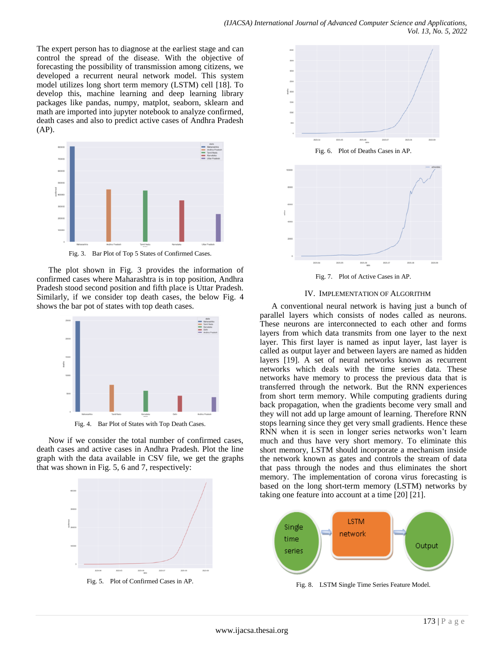The expert person has to diagnose at the earliest stage and can control the spread of the disease. With the objective of forecasting the possibility of transmission among citizens, we developed a recurrent neural network model. This system model utilizes long short term memory (LSTM) cell [18]. To develop this, machine learning and deep learning library packages like pandas, numpy, matplot, seaborn, sklearn and math are imported into jupyter notebook to analyze confirmed, death cases and also to predict active cases of Andhra Pradesh (AP).



Fig. 3. Bar Plot of Top 5 States of Confirmed Cases.

The plot shown in Fig. 3 provides the information of confirmed cases where Maharashtra is in top position, Andhra Pradesh stood second position and fifth place is Uttar Pradesh. Similarly, if we consider top death cases, the below Fig. 4 shows the bar pot of states with top death cases.



Fig. 4. Bar Plot of States with Top Death Cases.

Now if we consider the total number of confirmed cases, death cases and active cases in Andhra Pradesh. Plot the line graph with the data available in CSV file, we get the graphs that was shown in Fig. 5, 6 and 7, respectively:







Fig. 7. Plot of Active Cases in AP.

### IV. IMPLEMENTATION OF ALGORITHM

A conventional neural network is having just a bunch of parallel layers which consists of nodes called as neurons. These neurons are interconnected to each other and forms layers from which data transmits from one layer to the next layer. This first layer is named as input layer, last layer is called as output layer and between layers are named as hidden layers [19]. A set of neural networks known as recurrent networks which deals with the time series data. These networks have memory to process the previous data that is transferred through the network. But the RNN experiences from short term memory. While computing gradients during back propagation, when the gradients become very small and they will not add up large amount of learning. Therefore RNN stops learning since they get very small gradients. Hence these RNN when it is seen in longer series networks won"t learn much and thus have very short memory. To eliminate this short memory, LSTM should incorporate a mechanism inside the network known as gates and controls the stream of data that pass through the nodes and thus eliminates the short memory. The implementation of corona virus forecasting is based on the long short-term memory (LSTM) networks by taking one feature into account at a time [20] [21].



Fig. 8. LSTM Single Time Series Feature Model.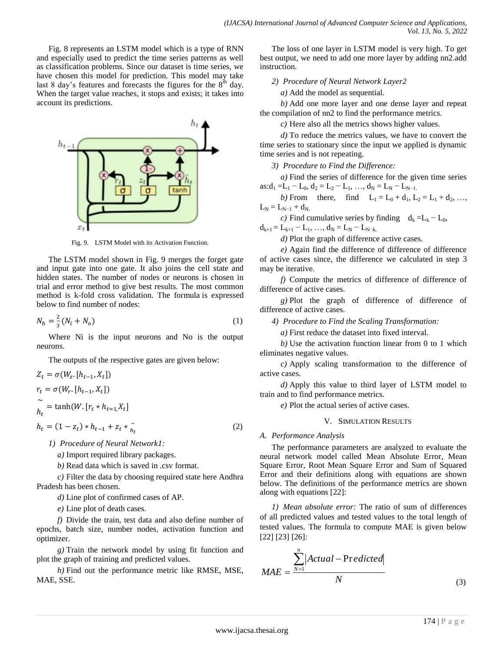Fig. 8 represents an LSTM model which is a type of RNN and especially used to predict the time series patterns as well as classification problems. Since our dataset is time series, we have chosen this model for prediction. This model may take last 8 day's features and forecasts the figures for the  $8<sup>th</sup>$  day. When the target value reaches, it stops and exists; it takes into account its predictions.



Fig. 9. LSTM Model with its Activation Function.

The LSTM model shown in Fig. 9 merges the forget gate and input gate into one gate. It also joins the cell state and hidden states. The number of nodes or neurons is chosen in trial and error method to give best results. The most common method is k-fold cross validation. The [formula](https://stats.stackexchange.com/a/136542) is expressed below to find number of nodes:

$$
N_h = \frac{2}{3}(N_i + N_o) \tag{1}
$$

Where Ni is the input neurons and No is the output neurons.

The outputs of the respective gates are given below:

$$
Z_{t} = \sigma(W_{z}. [h_{t-1}, X_{t}])
$$
  
\n
$$
r_{t} = \sigma(W_{r}. [h_{t-1}, X_{t}])
$$
  
\n
$$
\widetilde{h_{t}} = \tanh(W. [r_{t} * h_{t-1}, X_{t}]
$$
  
\n
$$
h_{t} = (1 - z_{t}) * h_{t-1} + z_{t} * \widetilde{h_{t}}
$$
\n(2)

*1) Procedure of Neural Network1:*

*a)* Import required library packages.

*b)* Read data which is saved in .csv format.

*c)* Filter the data by choosing required state here Andhra Pradesh has been chosen.

*d)* Line plot of confirmed cases of AP.

*e)* Line plot of death cases.

*f)* Divide the train, test data and also define number of epochs, batch size, number nodes, activation function and optimizer.

*g)* Train the network model by using fit function and plot the graph of training and predicted values.

*h)* Find out the performance metric like RMSE, MSE, MAE, SSE.

The loss of one layer in LSTM model is very high. To get best output, we need to add one more layer by adding nn2.add instruction.

*2) Procedure of Neural Network Layer2*

*a)* Add the model as sequential.

*b)* Add one more layer and one dense layer and repeat the compilation of nn2 to find the performance metrics.

*c)* Here also all the metrics shows higher values.

*d)* To reduce the metrics values, we have to convert the time series to stationary since the input we applied is dynamic time series and is not repeating.

*3) Procedure to Find the Difference:*

*a)* Find the series of difference for the given time series  $as: d_1 = L_1 - L_0, d_2 = L_2 - L_1, ..., d_N = L_N - L_{N-1}$ .

*b*) From there, find  $L_1 = L_0 + d_1$ ,  $L_2 = L_1 + d_2$ , ...  $L_N = L_{N-1} + d_{N.}$ 

*c)* Find cumulative series by finding  $d_k = L_k - L_0$ ,

 $d_{k+1} = L_{k+1} - L_1, \ldots, d_N = L_N - L_{N-k}$ .

*d)* Plot the graph of difference active cases.

*e)* Again find the difference of difference of difference of active cases since, the difference we calculated in step 3 may be iterative.

*f)* Compute the metrics of difference of difference of difference of active cases.

*g)* Plot the graph of difference of difference of difference of active cases.

*4) Procedure to Find the Scaling Transformation:*

*a)* First reduce the dataset into fixed interval.

*b)* Use the activation function linear from 0 to 1 which eliminates negative values.

*c)* Apply scaling transformation to the difference of active cases.

*d)* Apply this value to third layer of LSTM model to train and to find performance metrics.

*e)* Plot the actual series of active cases.

## V. SIMULATION RESULTS

#### *A. Performance Analysis*

The performance parameters are analyzed to evaluate the neural network model called Mean Absolute Error, Mean Square Error, Root Mean Square Error and Sum of Squared Error and their definitions along with equations are shown below. The definitions of the performance metrics are shown along with equations [22]:

*1) Mean absolute error:* The ratio of sum of differences of all predicted values and tested values to the total length of tested values. The formula to compute MAE is given below [22] [23] [26]:

$$
MAE = \frac{\sum_{N=1}^{n} |Actual - Predicted|}{N}
$$
\n(3)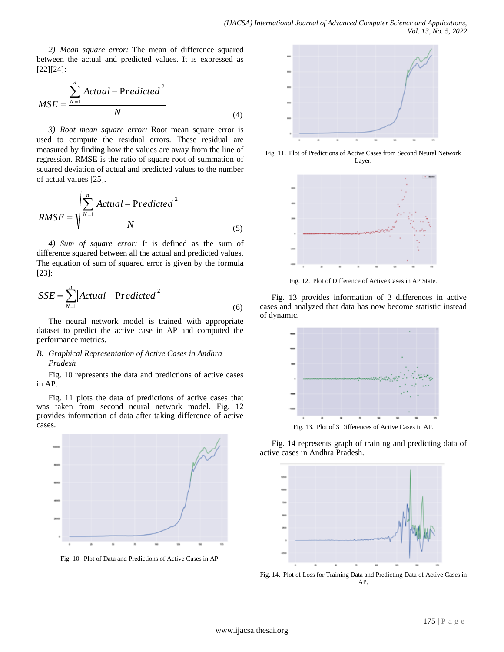*2) Mean square error:* The mean of difference squared between the actual and predicted values. It is expressed as [22][24]:

$$
MSE = \frac{\sum_{N=1}^{n} |Actual - Predicted|^{2}}{N}
$$
(4)

*3) Root mean square error:* Root mean square error is used to compute the residual errors. These residual are measured by finding how the values are away from the line of regression. RMSE is the ratio of square root of summation of squared deviation of actual and predicted values to the number of actual values [25].

$$
RMSE = \sqrt{\frac{\sum_{N=1}^{n} |Actual - Predicted|^{2}}{N}}
$$
\n(5)

*4) Sum of square error:* It is defined as the sum of difference squared between all the actual and predicted values. The equation of sum of squared error is given by the formula [23]:

$$
SSE = \sum_{N=1}^{n} |Actual - Predicted|^{2}
$$
\n(6)

The neural network model is trained with appropriate dataset to predict the active case in AP and computed the performance metrics.

## *B. Graphical Representation of Active Cases in Andhra Pradesh*

Fig. 10 represents the data and predictions of active cases in AP.

Fig. 11 plots the data of predictions of active cases that was taken from second neural network model. Fig. 12 provides information of data after taking difference of active cases.







Fig. 11. Plot of Predictions of Active Cases from Second Neural Network Layer.



Fig. 12. Plot of Difference of Active Cases in AP State.

Fig. 13 provides information of 3 differences in active cases and analyzed that data has now become statistic instead of dynamic.



Fig. 13. Plot of 3 Differences of Active Cases in AP.

Fig. 14 represents graph of training and predicting data of active cases in Andhra Pradesh.



Fig. 14. Plot of Loss for Training Data and Predicting Data of Active Cases in AP.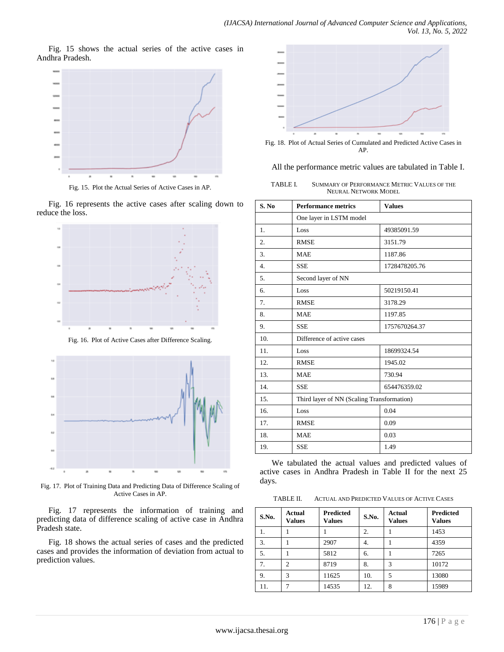Fig. 15 shows the actual series of the active cases in Andhra Pradesh.



Fig. 16 represents the active cases after scaling down to reduce the loss.



Fig. 16. Plot of Active Cases after Difference Scaling.



Fig. 17. Plot of Training Data and Predicting Data of Difference Scaling of Active Cases in AP.

Fig. 17 represents the information of training and predicting data of difference scaling of active case in Andhra Pradesh state.

Fig. 18 shows the actual series of cases and the predicted cases and provides the information of deviation from actual to prediction values.



Fig. 18. Plot of Actual Series of Cumulated and Predicted Active Cases in AP.

#### All the performance metric values are tabulated in Table I.

| TABLE L | SUMMARY OF PERFORMANCE METRIC VALUES OF THE |
|---------|---------------------------------------------|
|         | <b>NEURAL NETWORK MODEL</b>                 |

| S. No            | <b>Performance metrics</b>                 | <b>Values</b> |  |  |
|------------------|--------------------------------------------|---------------|--|--|
|                  | One layer in LSTM model                    |               |  |  |
| 1.               | Loss                                       | 49385091.59   |  |  |
| 2.               | <b>RMSE</b><br>3151.79                     |               |  |  |
| 3.               | <b>MAE</b>                                 | 1187.86       |  |  |
| $\overline{4}$ . | <b>SSE</b><br>1728478205.76                |               |  |  |
| 5.               | Second layer of NN                         |               |  |  |
| б.               | Loss<br>50219150.41                        |               |  |  |
| 7.               | <b>RMSE</b><br>3178.29                     |               |  |  |
| 8.               | <b>MAE</b>                                 | 1197.85       |  |  |
| 9.               | <b>SSE</b>                                 | 1757670264.37 |  |  |
| 10.              | Difference of active cases                 |               |  |  |
| 11.              | Loss                                       | 18699324.54   |  |  |
| 12.              | <b>RMSE</b>                                | 1945.02       |  |  |
| 13.              | <b>MAE</b><br>730.94                       |               |  |  |
| 14.              | <b>SSE</b><br>654476359.02                 |               |  |  |
| 15.              | Third layer of NN (Scaling Transformation) |               |  |  |
| 16.              | Loss                                       | 0.04          |  |  |
| 17.              | <b>RMSE</b>                                | 0.09          |  |  |
| 18.              | 0.03<br><b>MAE</b>                         |               |  |  |
| 19.              | <b>SSE</b>                                 | 1.49          |  |  |

We tabulated the actual values and predicted values of active cases in Andhra Pradesh in Table II for the next 25 days.

TABLE II. ACTUAL AND PREDICTED VALUES OF ACTIVE CASES

| S.No. | Actual<br><b>Values</b> | <b>Predicted</b><br><b>Values</b> | S.No. | Actual<br><b>Values</b> | <b>Predicted</b><br><b>Values</b> |
|-------|-------------------------|-----------------------------------|-------|-------------------------|-----------------------------------|
| 1.    |                         |                                   | 2.    |                         | 1453                              |
| 3.    |                         | 2907                              | 4.    |                         | 4359                              |
| 5.    |                         | 5812                              | 6.    |                         | 7265                              |
| 7.    | $\mathfrak{D}$          | 8719                              | 8.    | 3                       | 10172                             |
| 9.    | 3                       | 11625                             | 10.   | 5                       | 13080                             |
| 11.   |                         | 14535                             | 12.   | 8                       | 15989                             |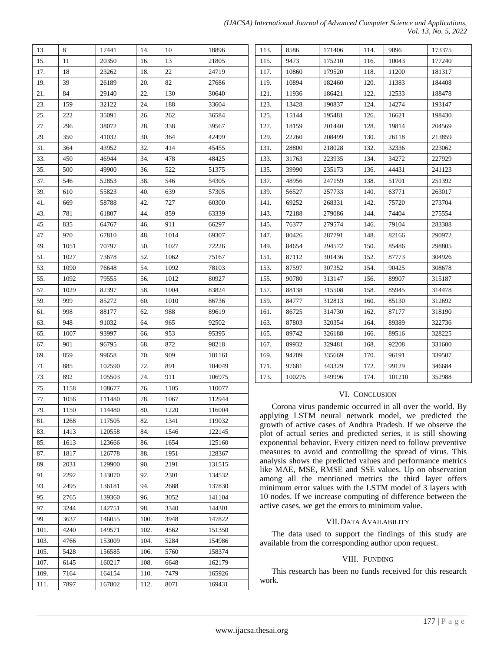| 13.  | 8    | 17441  | 14.  | 10   | 18896  |
|------|------|--------|------|------|--------|
| 15.  | 11   | 20350  | 16.  | 13   | 21805  |
| 17.  | 18   | 23262  | 18.  | 22   | 24719  |
| 19.  | 39   | 26189  | 20.  | 82   | 27686  |
| 21.  | 84   | 29140  | 22.  | 130  | 30640  |
| 23.  | 159  | 32122  | 24.  | 188  | 33604  |
| 25.  | 222  | 35091  | 26.  | 262  | 36584  |
| 27.  | 296  | 38072  | 28.  | 338  | 39567  |
| 29.  | 350  | 41032  | 30.  | 364  | 42499  |
| 31.  | 364  | 43952  | 32.  | 414  | 45455  |
| 33.  | 450  | 46944  | 34.  | 478  | 48425  |
| 35.  | 500  | 49900  | 36.  | 522  | 51375  |
| 37.  | 546  | 52853  | 38.  | 546  | 54305  |
| 39.  | 610  | 55823  | 40.  | 639  | 57305  |
| 41.  | 669  | 58788  | 42.  | 727  | 60300  |
| 43.  | 781  | 61807  | 44.  | 859  | 63339  |
| 45.  | 835  | 64767  | 46.  | 911  | 66297  |
| 47.  | 970  | 67810  | 48.  | 1014 | 69307  |
| 49.  | 1051 | 70797  | 50.  | 1027 | 72226  |
| 51.  | 1027 | 73678  | 52.  | 1062 | 75167  |
| 53.  | 1090 | 76648  | 54.  | 1092 | 78103  |
| 55.  | 1092 | 79555  | 56.  | 1012 | 80927  |
| 57.  | 1029 | 82397  | 58.  | 1004 | 83824  |
| 59.  | 999  | 85272  | 60.  | 1010 | 86736  |
| 61.  | 998  | 88177  | 62.  | 988  | 89619  |
| 63.  | 948  | 91032  | 64.  | 965  | 92502  |
| 65.  | 1007 | 93997  | 66.  | 953  | 95395  |
| 67.  | 901  | 96795  | 68.  | 872  | 98218  |
| 69.  | 859  | 99658  | 70.  | 909  | 101161 |
| 71.  | 885  | 102590 | 72.  | 891  | 104049 |
| 73.  | 892  | 105503 | 74.  | 911  | 106975 |
| 75.  | 1158 | 108677 | 76.  | 1105 | 110077 |
| 77.  | 1056 | 111480 | 78.  | 1067 | 112944 |
| 79.  | 1150 | 114480 | 80.  | 1220 | 116004 |
| 81.  | 1268 | 117505 | 82.  | 1341 | 119032 |
| 83.  | 1413 | 120558 | 84.  | 1546 | 122145 |
| 85.  | 1613 | 123666 | 86.  | 1654 | 125160 |
| 87.  | 1817 | 126778 | 88.  | 1951 | 128367 |
| 89.  | 2031 | 129900 | 90.  | 2191 | 131515 |
| 91.  | 2292 | 133070 | 92.  | 2301 | 134532 |
| 93.  | 2495 | 136181 | 94.  | 2688 | 137830 |
| 95.  | 2765 | 139360 | 96.  | 3052 | 141104 |
| 97.  | 3244 | 142751 | 98.  | 3340 | 144301 |
| 99.  | 3637 | 146055 | 100. | 3948 | 147822 |
| 101. | 4240 | 149571 | 102. | 4562 | 151350 |
| 103. | 4766 | 153009 | 104. | 5284 | 154986 |
| 105. | 5428 | 156585 | 106. | 5760 | 158374 |
| 107. | 6145 | 160217 | 108. | 6648 | 162179 |
| 109. | 7164 | 164154 | 110. | 7479 | 165926 |
| 111. | 7897 | 167802 | 112. | 8071 | 169431 |

| (IJACSA) International Journal of Advanced Computer Science and Applications, |  |  |                             |  |
|-------------------------------------------------------------------------------|--|--|-----------------------------|--|
|                                                                               |  |  | <i>Vol. 13, No. 5, 2022</i> |  |

| 113. | 8586   | 171406 | 114. | 9096   | 173375 |
|------|--------|--------|------|--------|--------|
| 115. | 9473   | 175210 | 116. | 10043  | 177240 |
| 117. | 10860  | 179520 | 118. | 11200  | 181317 |
| 119. | 10894  | 182460 | 120. | 11383  | 184408 |
| 121. | 11936  | 186421 | 122. | 12533  | 188478 |
| 123. | 13428  | 190837 | 124. | 14274  | 193147 |
| 125. | 15144  | 195481 | 126. | 16621  | 198430 |
| 127. | 18159  | 201440 | 128. | 19814  | 204569 |
| 129. | 22260  | 208499 | 130. | 26118  | 213859 |
| 131. | 28800  | 218028 | 132. | 32336  | 223062 |
| 133. | 31763  | 223935 | 134. | 34272  | 227929 |
| 135. | 39990  | 235173 | 136. | 44431  | 241123 |
| 137. | 48956  | 247159 | 138. | 51701  | 251392 |
| 139. | 56527  | 257733 | 140. | 63771  | 263017 |
| 141. | 69252  | 268331 | 142. | 75720  | 273704 |
| 143. | 72188  | 279086 | 144. | 74404  | 275554 |
| 145. | 76377  | 279574 | 146. | 79104  | 283388 |
| 147. | 80426  | 287791 | 148. | 82166  | 290972 |
| 149. | 84654  | 294572 | 150. | 85486  | 298805 |
| 151. | 87112  | 301436 | 152. | 87773  | 304926 |
| 153. | 87597  | 307352 | 154. | 90425  | 308678 |
| 155. | 90780  | 313147 | 156. | 89907  | 315187 |
| 157. | 88138  | 315508 | 158. | 85945  | 314478 |
| 159. | 84777  | 312813 | 160. | 85130  | 312692 |
| 161. | 86725  | 314730 | 162. | 87177  | 318190 |
| 163. | 87803  | 320354 | 164. | 89389  | 322736 |
| 165. | 89742  | 326188 | 166. | 89516  | 328225 |
| 167. | 89932  | 329481 | 168. | 92208  | 331600 |
| 169. | 94209  | 335669 | 170. | 96191  | 339507 |
| 171. | 97681  | 343329 | 172. | 99129  | 346684 |
| 173. | 100276 | 349996 | 174. | 101210 | 352988 |

## VI. CONCLUSION

Corona virus pandemic occurred in all over the world. By applying LSTM neural network model, we predicted the growth of active cases of Andhra Pradesh. If we observe the plot of actual series and predicted series, it is still showing exponential behavior. Every citizen need to follow preventive measures to avoid and controlling the spread of virus. This analysis shows the predicted values and performance metrics like MAE, MSE, RMSE and SSE values. Up on observation among all the mentioned metrics the third layer offers minimum error values with the LSTM model of 3 layers with 10 nodes. If we increase computing of difference between the active cases, we get the errors to minimum value.

#### VII.DATA AVAILABILITY

The data used to support the findings of this study are available from the corresponding author upon request.

## VIII. FUNDING

This research has been no funds received for this research work.